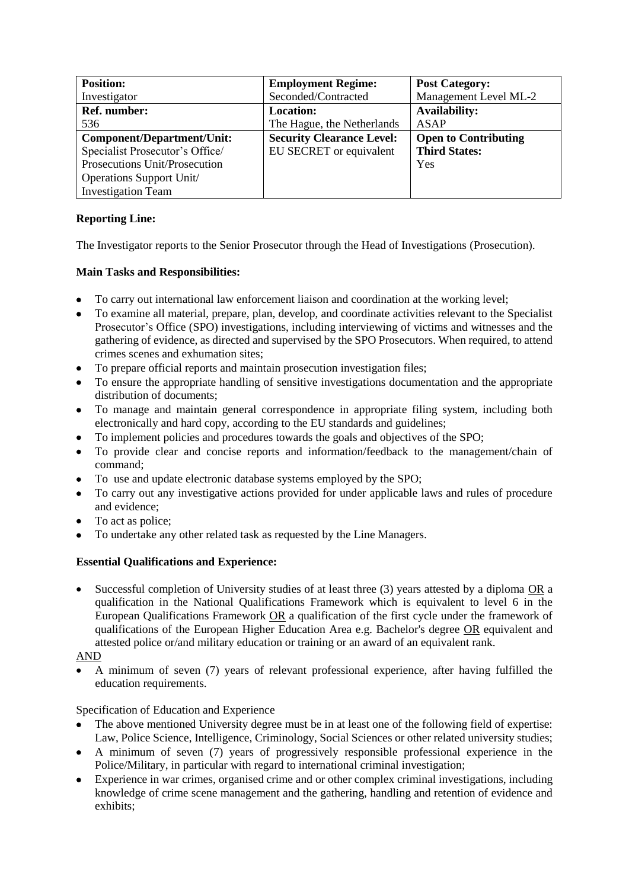| <b>Position:</b>                | <b>Employment Regime:</b>        | <b>Post Category:</b>       |
|---------------------------------|----------------------------------|-----------------------------|
| Investigator                    | Seconded/Contracted              | Management Level ML-2       |
| <b>Ref.</b> number:             | <b>Location:</b>                 | <b>Availability:</b>        |
| 536                             | The Hague, the Netherlands       | <b>ASAP</b>                 |
| Component/Department/Unit:      | <b>Security Clearance Level:</b> | <b>Open to Contributing</b> |
| Specialist Prosecutor's Office/ | EU SECRET or equivalent          | <b>Third States:</b>        |
| Prosecutions Unit/Prosecution   |                                  | Yes                         |
| Operations Support Unit/        |                                  |                             |
| <b>Investigation Team</b>       |                                  |                             |

# **Reporting Line:**

The Investigator reports to the Senior Prosecutor through the Head of Investigations (Prosecution).

## **Main Tasks and Responsibilities:**

- To carry out international law enforcement liaison and coordination at the working level;
- To examine all material, prepare, plan, develop, and coordinate activities relevant to the Specialist Prosecutor's Office (SPO) investigations, including interviewing of victims and witnesses and the gathering of evidence, as directed and supervised by the SPO Prosecutors. When required, to attend crimes scenes and exhumation sites;
- To prepare official reports and maintain prosecution investigation files;
- To ensure the appropriate handling of sensitive investigations documentation and the appropriate distribution of documents;
- To manage and maintain general correspondence in appropriate filing system, including both electronically and hard copy, according to the EU standards and guidelines;
- To implement policies and procedures towards the goals and objectives of the SPO;
- To provide clear and concise reports and information/feedback to the management/chain of command;
- To use and update electronic database systems employed by the SPO;
- To carry out any investigative actions provided for under applicable laws and rules of procedure and evidence;
- To act as police;
- To undertake any other related task as requested by the Line Managers.

## **Essential Qualifications and Experience:**

 Successful completion of University studies of at least three (3) years attested by a diploma OR a qualification in the National Qualifications Framework which is equivalent to level 6 in the European Qualifications Framework OR a qualification of the first cycle under the framework of qualifications of the European Higher Education Area e.g. Bachelor's degree OR equivalent and attested police or/and military education or training or an award of an equivalent rank.

### AND

 A minimum of seven (7) years of relevant professional experience, after having fulfilled the education requirements.

Specification of Education and Experience

- The above mentioned University degree must be in at least one of the following field of expertise: Law, Police Science, Intelligence, Criminology, Social Sciences or other related university studies;
- A minimum of seven (7) years of progressively responsible professional experience in the Police/Military, in particular with regard to international criminal investigation;
- Experience in war crimes, organised crime and or other complex criminal investigations, including knowledge of crime scene management and the gathering, handling and retention of evidence and exhibits;